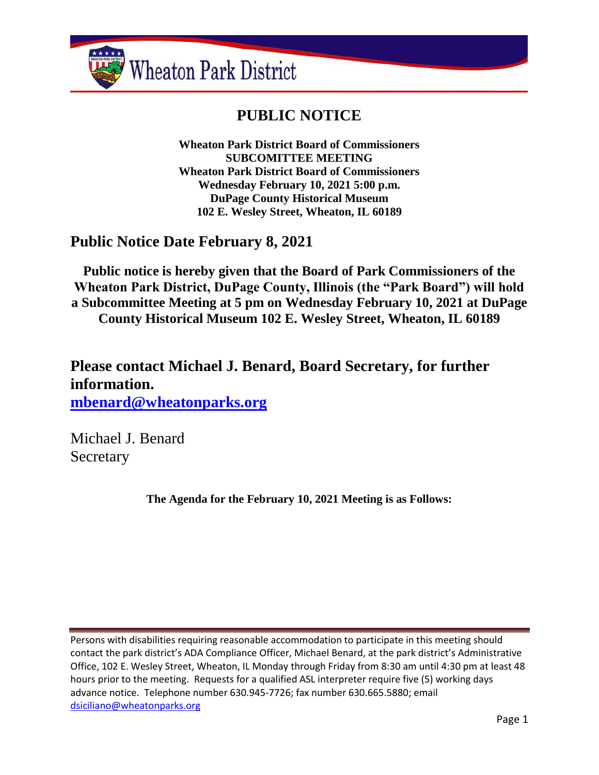

# **PUBLIC NOTICE**

**Wheaton Park District Board of Commissioners SUBCOMITTEE MEETING Wheaton Park District Board of Commissioners Wednesday February 10, 2021 5:00 p.m. DuPage County Historical Museum 102 E. Wesley Street, Wheaton, IL 60189**

## **Public Notice Date February 8, 2021**

**Public notice is hereby given that the Board of Park Commissioners of the Wheaton Park District, DuPage County, Illinois (the "Park Board") will hold a Subcommittee Meeting at 5 pm on Wednesday February 10, 2021 at DuPage County Historical Museum 102 E. Wesley Street, Wheaton, IL 60189**

**Please contact Michael J. Benard, Board Secretary, for further information. [mbenard@wheatonparks.org](mailto:mbenard@wheatonparks.org)**

Michael J. Benard **Secretary** 

**The Agenda for the February 10, 2021 Meeting is as Follows:**

Persons with disabilities requiring reasonable accommodation to participate in this meeting should contact the park district's ADA Compliance Officer, Michael Benard, at the park district's Administrative Office, 102 E. Wesley Street, Wheaton, IL Monday through Friday from 8:30 am until 4:30 pm at least 48 hours prior to the meeting. Requests for a qualified ASL interpreter require five (5) working days advance notice. Telephone number 630.945-7726; fax number 630.665.5880; email [dsiciliano@wheatonparks.org](mailto:dsiciliano@wheatonparks.org)